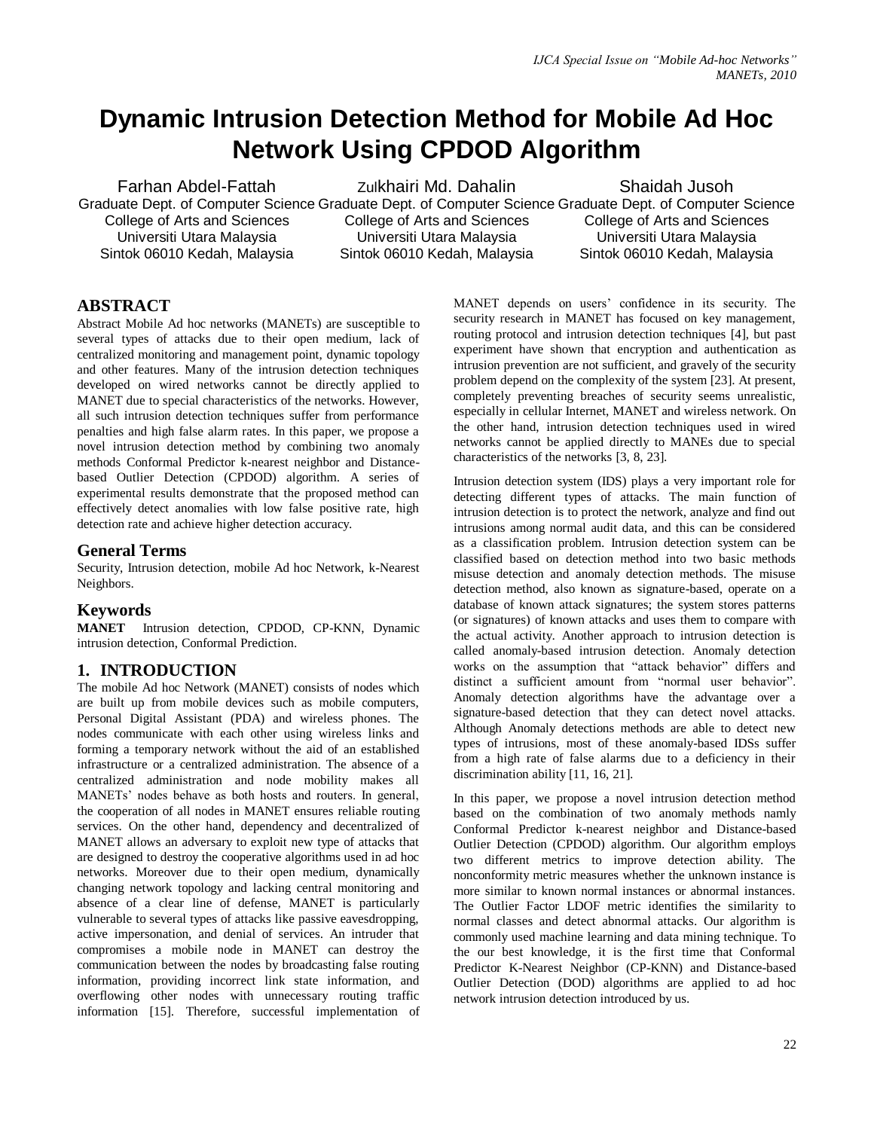# **Dynamic Intrusion Detection Method for Mobile Ad Hoc Network Using CPDOD Algorithm**

Farhan Abdel-Fattah

College of Arts and Sciences Universiti Utara Malaysia Sintok 06010 Kedah, Malaysia Zulkhairi Md. Dahalin

College of Arts and Sciences Universiti Utara Malaysia Sintok 06010 Kedah, Malaysia

Graduate Dept. of Computer Science Graduate Dept. of Computer Science Graduate Dept. of Computer Science Shaidah Jusoh College of Arts and Sciences Universiti Utara Malaysia Sintok 06010 Kedah, Malaysia

# **ABSTRACT**

Abstract Mobile Ad hoc networks (MANETs) are susceptible to several types of attacks due to their open medium, lack of centralized monitoring and management point, dynamic topology and other features. Many of the intrusion detection techniques developed on wired networks cannot be directly applied to MANET due to special characteristics of the networks. However, all such intrusion detection techniques suffer from performance penalties and high false alarm rates. In this paper, we propose a novel intrusion detection method by combining two anomaly methods Conformal Predictor k-nearest neighbor and Distancebased Outlier Detection (CPDOD) algorithm. A series of experimental results demonstrate that the proposed method can effectively detect anomalies with low false positive rate, high detection rate and achieve higher detection accuracy.

## **General Terms**

Security, Intrusion detection, mobile Ad hoc Network, k-Nearest Neighbors.

## **Keywords**

**MANET** Intrusion detection, CPDOD, CP-KNN, Dynamic intrusion detection, Conformal Prediction.

## **1. INTRODUCTION**

The mobile Ad hoc Network (MANET) consists of nodes which are built up from mobile devices such as mobile computers, Personal Digital Assistant (PDA) and wireless phones. The nodes communicate with each other using wireless links and forming a temporary network without the aid of an established infrastructure or a centralized administration. The absence of a centralized administration and node mobility makes all MANETs' nodes behave as both hosts and routers. In general, the cooperation of all nodes in MANET ensures reliable routing services. On the other hand, dependency and decentralized of MANET allows an adversary to exploit new type of attacks that are designed to destroy the cooperative algorithms used in ad hoc networks. Moreover due to their open medium, dynamically changing network topology and lacking central monitoring and absence of a clear line of defense, MANET is particularly vulnerable to several types of attacks like passive eavesdropping, active impersonation, and denial of services. An intruder that compromises a mobile node in MANET can destroy the communication between the nodes by broadcasting false routing information, providing incorrect link state information, and overflowing other nodes with unnecessary routing traffic information [15]. Therefore, successful implementation of MANET depends on users" confidence in its security. The security research in MANET has focused on key management, routing protocol and intrusion detection techniques [4], but past experiment have shown that encryption and authentication as intrusion prevention are not sufficient, and gravely of the security problem depend on the complexity of the system [23]. At present, completely preventing breaches of security seems unrealistic, especially in cellular Internet, MANET and wireless network. On the other hand, intrusion detection techniques used in wired networks cannot be applied directly to MANEs due to special characteristics of the networks [3, 8, 23].

Intrusion detection system (IDS) plays a very important role for detecting different types of attacks. The main function of intrusion detection is to protect the network, analyze and find out intrusions among normal audit data, and this can be considered as a classification problem. Intrusion detection system can be classified based on detection method into two basic methods misuse detection and anomaly detection methods. The misuse detection method, also known as signature-based, operate on a database of known attack signatures; the system stores patterns (or signatures) of known attacks and uses them to compare with the actual activity. Another approach to intrusion detection is called anomaly-based intrusion detection. Anomaly detection works on the assumption that "attack behavior" differs and distinct a sufficient amount from "normal user behavior". Anomaly detection algorithms have the advantage over a signature-based detection that they can detect novel attacks. Although Anomaly detections methods are able to detect new types of intrusions, most of these anomaly-based IDSs suffer from a high rate of false alarms due to a deficiency in their discrimination ability [11, 16, 21].

In this paper, we propose a novel intrusion detection method based on the combination of two anomaly methods namly Conformal Predictor k-nearest neighbor and Distance-based Outlier Detection (CPDOD) algorithm. Our algorithm employs two different metrics to improve detection ability. The nonconformity metric measures whether the unknown instance is more similar to known normal instances or abnormal instances. The Outlier Factor LDOF metric identifies the similarity to normal classes and detect abnormal attacks. Our algorithm is commonly used machine learning and data mining technique. To the our best knowledge, it is the first time that Conformal Predictor K-Nearest Neighbor (CP-KNN) and Distance-based Outlier Detection (DOD) algorithms are applied to ad hoc network intrusion detection introduced by us.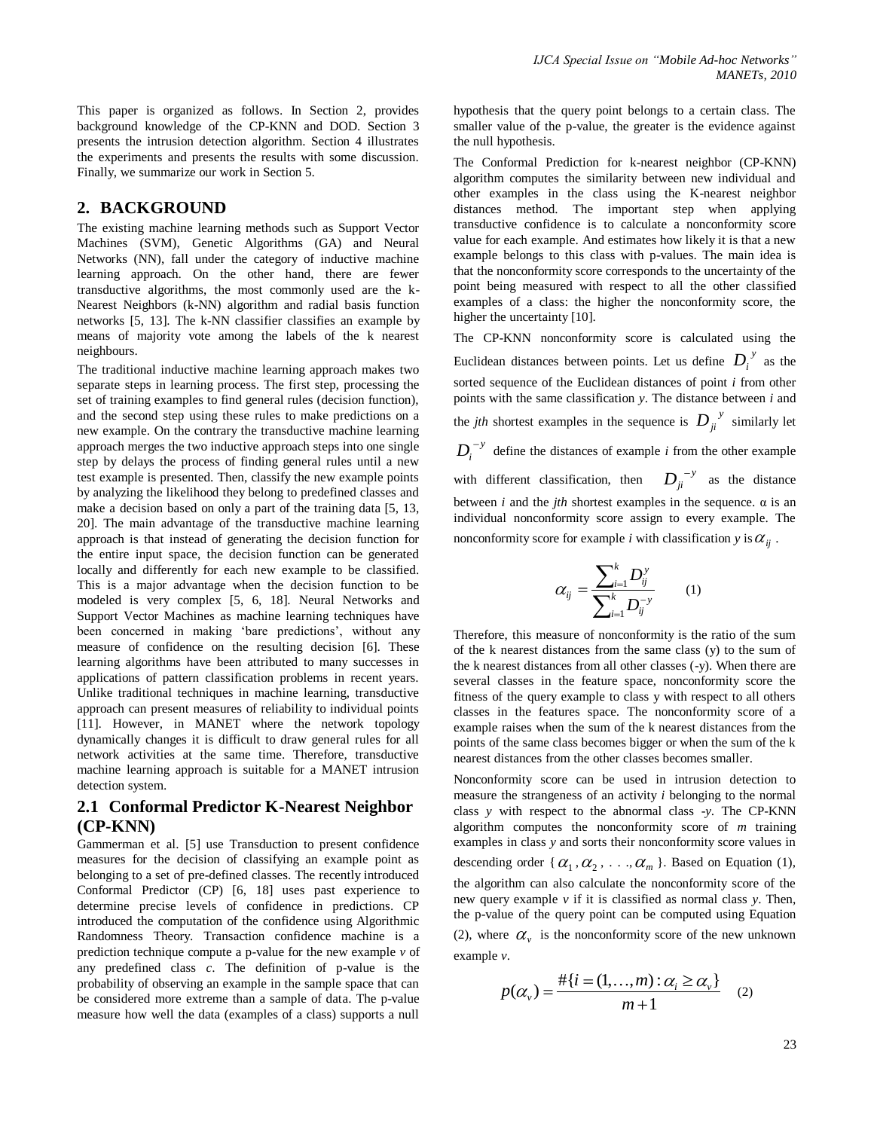This paper is organized as follows. In Section 2, provides background knowledge of the CP-KNN and DOD. Section 3 presents the intrusion detection algorithm. Section 4 illustrates the experiments and presents the results with some discussion. Finally, we summarize our work in Section 5.

## **2. BACKGROUND**

The existing machine learning methods such as Support Vector Machines (SVM), Genetic Algorithms (GA) and Neural Networks (NN), fall under the category of inductive machine learning approach. On the other hand, there are fewer transductive algorithms, the most commonly used are the k-Nearest Neighbors (k-NN) algorithm and radial basis function networks [5, 13]. The k-NN classifier classifies an example by means of majority vote among the labels of the k nearest neighbours.

The traditional inductive machine learning approach makes two separate steps in learning process. The first step, processing the set of training examples to find general rules (decision function), and the second step using these rules to make predictions on a new example. On the contrary the transductive machine learning approach merges the two inductive approach steps into one single step by delays the process of finding general rules until a new test example is presented. Then, classify the new example points by analyzing the likelihood they belong to predefined classes and make a decision based on only a part of the training data [5, 13, 20]. The main advantage of the transductive machine learning approach is that instead of generating the decision function for the entire input space, the decision function can be generated locally and differently for each new example to be classified. This is a major advantage when the decision function to be modeled is very complex [5, 6, 18]. Neural Networks and Support Vector Machines as machine learning techniques have been concerned in making 'bare predictions', without any measure of confidence on the resulting decision [6]. These learning algorithms have been attributed to many successes in applications of pattern classification problems in recent years. Unlike traditional techniques in machine learning, transductive approach can present measures of reliability to individual points [11]. However, in MANET where the network topology dynamically changes it is difficult to draw general rules for all network activities at the same time. Therefore, transductive machine learning approach is suitable for a MANET intrusion detection system.

## **2.1 Conformal Predictor K-Nearest Neighbor (CP-KNN)**

Gammerman et al. [5] use Transduction to present confidence measures for the decision of classifying an example point as belonging to a set of pre-defined classes. The recently introduced Conformal Predictor (CP) [6, 18] uses past experience to determine precise levels of confidence in predictions. CP introduced the computation of the confidence using Algorithmic Randomness Theory. Transaction confidence machine is a prediction technique compute a p-value for the new example *v* of any predefined class *c*. The definition of p-value is the probability of observing an example in the sample space that can be considered more extreme than a sample of data. The p-value measure how well the data (examples of a class) supports a null hypothesis that the query point belongs to a certain class. The smaller value of the p-value, the greater is the evidence against the null hypothesis.

The Conformal Prediction for k-nearest neighbor (CP-KNN) algorithm computes the similarity between new individual and other examples in the class using the K-nearest neighbor distances method. The important step when applying transductive confidence is to calculate a nonconformity score value for each example. And estimates how likely it is that a new example belongs to this class with p-values. The main idea is that the nonconformity score corresponds to the uncertainty of the point being measured with respect to all the other classified examples of a class: the higher the nonconformity score, the higher the uncertainty [10].

The CP-KNN nonconformity score is calculated using the Euclidean distances between points. Let us define  $D_i^{\ y}$  as the sorted sequence of the Euclidean distances of point *i* from other points with the same classification *y*. The distance between *i* and the *jth* shortest examples in the sequence is  $D_{ji}^{\ y}$  similarly let  $D_i^{-y}$  define the distances of example *i* from the other example with different classification, then  $D_{ji}^{-y}$  as the distance between  $i$  and the  $j$ th shortest examples in the sequence.  $\alpha$  is an individual nonconformity score assign to every example. The nonconformity score for example *i* with classification *y* is  $\alpha_{ij}$ .

$$
\alpha_{ij} = \frac{\sum_{i=1}^{k} D_{ij}^{y}}{\sum_{i=1}^{k} D_{ij}^{-y}}
$$
 (1)

Therefore, this measure of nonconformity is the ratio of the sum of the k nearest distances from the same class (y) to the sum of the k nearest distances from all other classes (-y). When there are several classes in the feature space, nonconformity score the fitness of the query example to class y with respect to all others classes in the features space. The nonconformity score of a example raises when the sum of the k nearest distances from the points of the same class becomes bigger or when the sum of the k nearest distances from the other classes becomes smaller.

Nonconformity score can be used in intrusion detection to measure the strangeness of an activity *i* belonging to the normal class *y* with respect to the abnormal class -*y*. The CP-KNN algorithm computes the nonconformity score of *m* training examples in class *y* and sorts their nonconformity score values in descending order { $\alpha_1, \alpha_2, \ldots, \alpha_m$  }. Based on Equation (1), the algorithm can also calculate the nonconformity score of the new query example *v* if it is classified as normal class *y*. Then, the p-value of the query point can be computed using Equation (2), where  $\alpha_{\nu}$  is the nonconformity score of the new unknown example *v*.

$$
p(\alpha_{v}) = \frac{\#\{i = (1, \dots, m) : \alpha_{i} \ge \alpha_{v}\}}{m+1}
$$
 (2)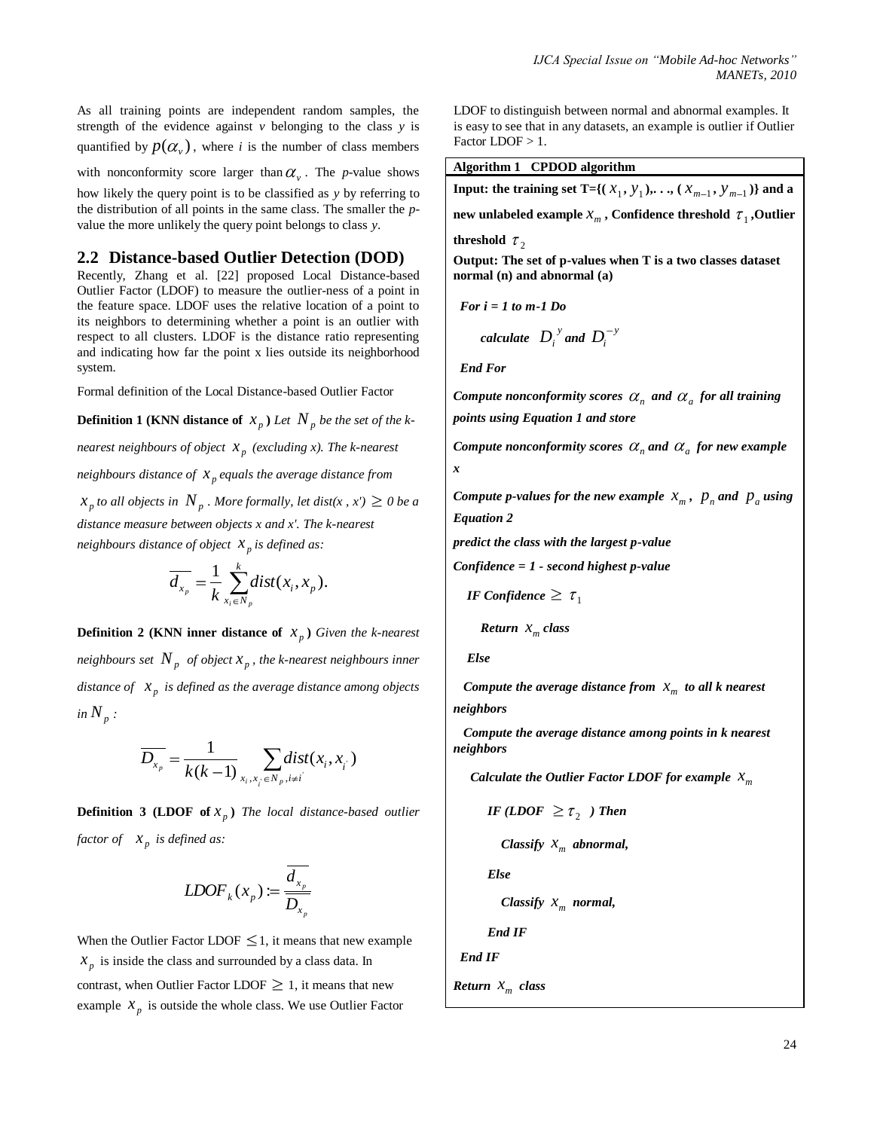As all training points are independent random samples, the strength of the evidence against  $\nu$  belonging to the class  $\nu$  is quantified by  $p(\alpha_{\nu})$ , where *i* is the number of class members

with nonconformity score larger than  $\alpha$ <sub>v</sub>. The *p*-value shows

how likely the query point is to be classified as *y* by referring to the distribution of all points in the same class. The smaller the *p*value the more unlikely the query point belongs to class *y*.

## **2.2 Distance-based Outlier Detection (DOD)**

Recently, Zhang et al. [22] proposed Local Distance-based Outlier Factor (LDOF) to measure the outlier-ness of a point in the feature space. LDOF uses the relative location of a point to its neighbors to determining whether a point is an outlier with respect to all clusters. LDOF is the distance ratio representing and indicating how far the point x lies outside its neighborhood system.

Formal definition of the Local Distance-based Outlier Factor

**Definition 1 (KNN distance of**  $x_p$ ) Let  $N_p$  be the set of the k*nearest neighbours of object p x (excluding x). The k-nearest neighbours distance of*  $x_p$  *equals the average distance from*  $x_p$  *to all objects in*  $N_p$ . More formally, let dist(x, x')  $\geq 0$  be a *distance measure between objects x and x'. The k-nearest neighbours distance of object*  $x_p$  *is defined as:* 

$$
\overline{d_{x_p}} = \frac{1}{k} \sum_{x_i \in N_p}^k dist(x_i, x_p).
$$

**Definition 2 (KNN inner distance of**  $x_p$ ) *Given the k-nearest neighbours set*  $N_p$  *of object*  $x_p$  , *the k-nearest neighbours inner* distance of  $\left| x_{p} \right|$  is defined as the average distance among objects *in*  $N_p$  *:* 

$$
\overline{D_{x_p}} = \frac{1}{k(k-1)} \sum_{x_i, x_j \in N_p, i \neq i} dist(x_i, x_j)
$$

**Definition 3 (LDOF of**  $x_p$ ) The local distance-based outlier *factor of*  $x_p$  *is defined as:* 

$$
LDOF_{k}(x_{p}) := \frac{d_{x_{p}}}{D_{x_{p}}}
$$

When the Outlier Factor LDOF  $\leq$  1, it means that new example  $x_p$  is inside the class and surrounded by a class data. In contrast, when Outlier Factor LDOF  $\geq 1$ , it means that new example  $x_p$  is outside the whole class. We use Outlier Factor

LDOF to distinguish between normal and abnormal examples. It is easy to see that in any datasets, an example is outlier if Outlier Factor LDOF > 1.

**Algorithm 1 CPDOD algorithm**

**Input:** the training set T={ $(X_1, Y_1)$ , ...,  $(X_{m-1}, Y_{m-1})$ } and a

new unlabeled example  $x_m$  , Confidence threshold  $\tau_1$  , Outlier

**threshold**  $\tau_2$ 

**Output: The set of p-values when T is a two classes dataset normal (n) and abnormal (a)**

$$
For i = 1 to m-1 Do
$$

$$
calculate \quad D_i^{\ y} \quad \text{and} \quad D_i^{-y}
$$

 *End For* 

Compute nonconformity scores  $\alpha_n$  and  $\alpha_a$  for all training *points using Equation 1 and store*

*Compute nonconformity scores*  $\alpha_n$  and  $\alpha_a$  for new example *x*

*Compute p-values for the new example*  $x_m$ ,  $p_n$  and  $p_a$  using *Equation 2*

*predict the class with the largest p-value*

*Confidence = 1 - second highest p-value*

*IF Confidence* 
$$
\geq \tau_1
$$

**Return** 
$$
x_m
$$
 class

 *Else*

*Compute the average distance from*  $x_m$  *to all k nearest neighbors*

 *Compute the average distance among points in k nearest neighbors*

*Calculate the Outlier Factor LDOF for example*  $x_m$ 

IF (LDOF 
$$
\geq \tau_2
$$
) Then

 *Classify m x abnormal,* 

 *Else*

$$
Classify \; X_m \; normal,
$$

 *End IF*

 *End IF*

$$
Return \; x_{m} \; class
$$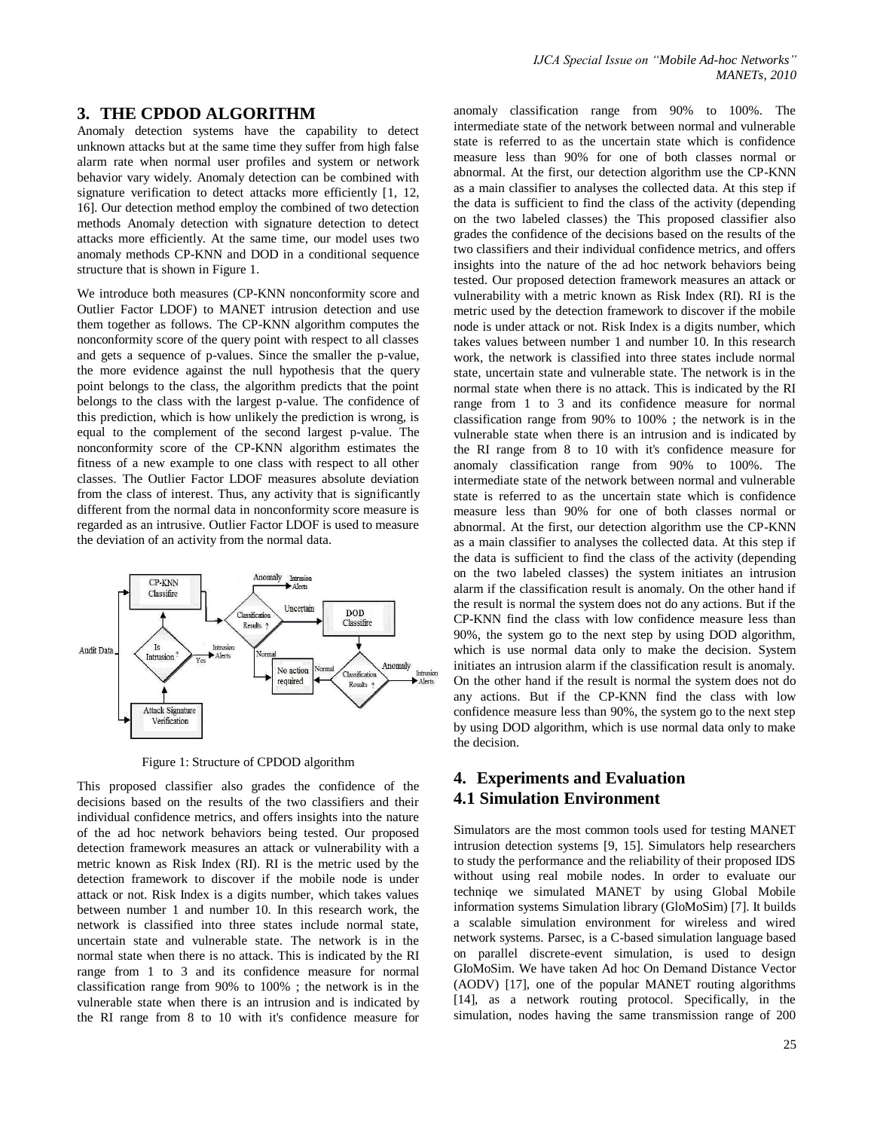#### **3. THE CPDOD ALGORITHM**

Anomaly detection systems have the capability to detect unknown attacks but at the same time they suffer from high false alarm rate when normal user profiles and system or network behavior vary widely. Anomaly detection can be combined with signature verification to detect attacks more efficiently [1, 12, 16]. Our detection method employ the combined of two detection methods Anomaly detection with signature detection to detect attacks more efficiently. At the same time, our model uses two anomaly methods CP-KNN and DOD in a conditional sequence structure that is shown in Figure 1.

We introduce both measures (CP-KNN nonconformity score and Outlier Factor LDOF) to MANET intrusion detection and use them together as follows. The CP-KNN algorithm computes the nonconformity score of the query point with respect to all classes and gets a sequence of p-values. Since the smaller the p-value, the more evidence against the null hypothesis that the query point belongs to the class, the algorithm predicts that the point belongs to the class with the largest p-value. The confidence of this prediction, which is how unlikely the prediction is wrong, is equal to the complement of the second largest p-value. The nonconformity score of the CP-KNN algorithm estimates the fitness of a new example to one class with respect to all other classes. The Outlier Factor LDOF measures absolute deviation from the class of interest. Thus, any activity that is significantly different from the normal data in nonconformity score measure is regarded as an intrusive. Outlier Factor LDOF is used to measure the deviation of an activity from the normal data.



Figure 1: Structure of CPDOD algorithm

This proposed classifier also grades the confidence of the decisions based on the results of the two classifiers and their individual confidence metrics, and offers insights into the nature of the ad hoc network behaviors being tested. Our proposed detection framework measures an attack or vulnerability with a metric known as Risk Index (RI). RI is the metric used by the detection framework to discover if the mobile node is under attack or not. Risk Index is a digits number, which takes values between number 1 and number 10. In this research work, the network is classified into three states include normal state, uncertain state and vulnerable state. The network is in the normal state when there is no attack. This is indicated by the RI range from 1 to 3 and its confidence measure for normal classification range from 90% to 100% ; the network is in the vulnerable state when there is an intrusion and is indicated by the RI range from 8 to 10 with it's confidence measure for

anomaly classification range from 90% to 100%. The intermediate state of the network between normal and vulnerable state is referred to as the uncertain state which is confidence measure less than 90% for one of both classes normal or abnormal. At the first, our detection algorithm use the CP-KNN as a main classifier to analyses the collected data. At this step if the data is sufficient to find the class of the activity (depending on the two labeled classes) the This proposed classifier also grades the confidence of the decisions based on the results of the two classifiers and their individual confidence metrics, and offers insights into the nature of the ad hoc network behaviors being tested. Our proposed detection framework measures an attack or vulnerability with a metric known as Risk Index (RI). RI is the metric used by the detection framework to discover if the mobile node is under attack or not. Risk Index is a digits number, which takes values between number 1 and number 10. In this research work, the network is classified into three states include normal state, uncertain state and vulnerable state. The network is in the normal state when there is no attack. This is indicated by the RI range from 1 to 3 and its confidence measure for normal classification range from 90% to 100% ; the network is in the vulnerable state when there is an intrusion and is indicated by the RI range from 8 to 10 with it's confidence measure for anomaly classification range from 90% to 100%. The intermediate state of the network between normal and vulnerable state is referred to as the uncertain state which is confidence measure less than 90% for one of both classes normal or abnormal. At the first, our detection algorithm use the CP-KNN as a main classifier to analyses the collected data. At this step if the data is sufficient to find the class of the activity (depending on the two labeled classes) the system initiates an intrusion alarm if the classification result is anomaly. On the other hand if the result is normal the system does not do any actions. But if the CP-KNN find the class with low confidence measure less than 90%, the system go to the next step by using DOD algorithm, which is use normal data only to make the decision. System initiates an intrusion alarm if the classification result is anomaly. On the other hand if the result is normal the system does not do any actions. But if the CP-KNN find the class with low confidence measure less than 90%, the system go to the next step by using DOD algorithm, which is use normal data only to make the decision.

# **4. Experiments and Evaluation 4.1 Simulation Environment**

Simulators are the most common tools used for testing MANET intrusion detection systems [9, 15]. Simulators help researchers to study the performance and the reliability of their proposed IDS without using real mobile nodes. In order to evaluate our techniqe we simulated MANET by using Global Mobile information systems Simulation library (GloMoSim) [7]. It builds a scalable simulation environment for wireless and wired network systems. Parsec, is a C-based simulation language based on parallel discrete-event simulation, is used to design GIoMoSim. We have taken Ad hoc On Demand Distance Vector (AODV) [17], one of the popular MANET routing algorithms [14], as a network routing protocol. Specifically, in the simulation, nodes having the same transmission range of 200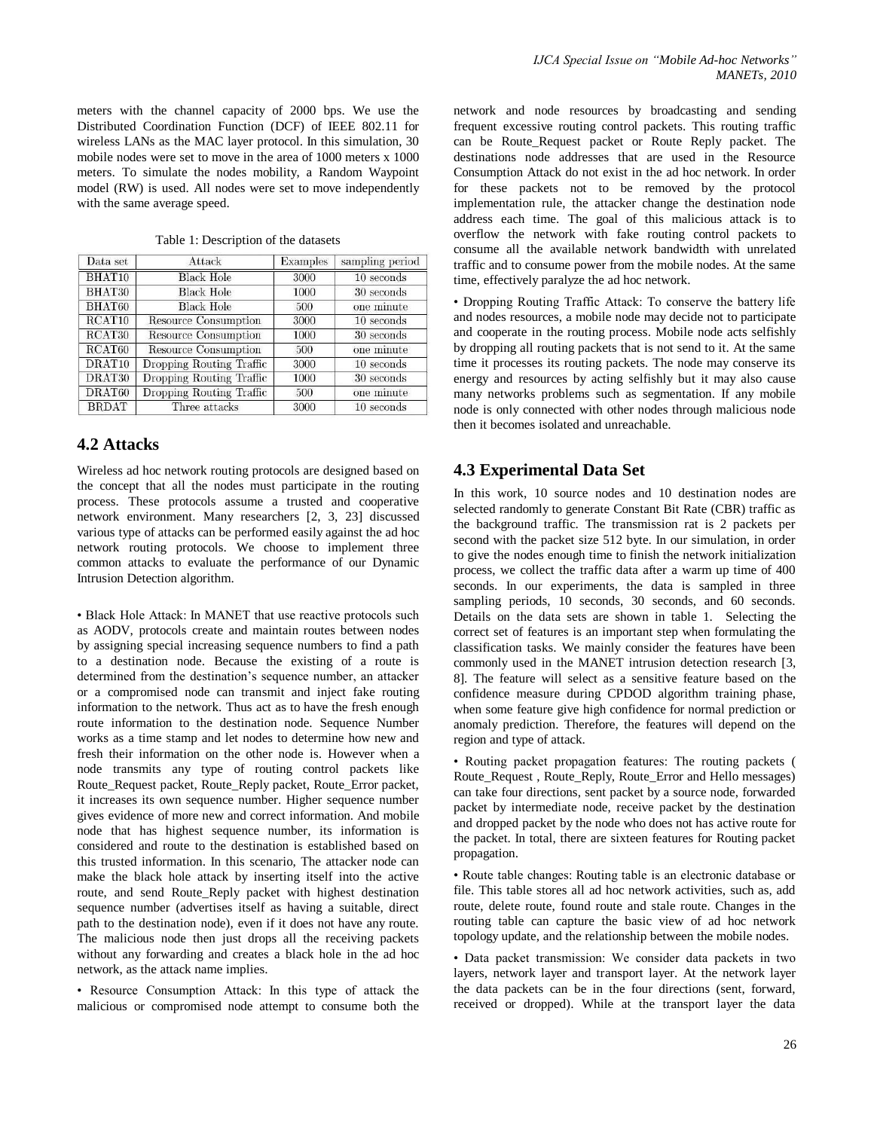meters with the channel capacity of 2000 bps. We use the Distributed Coordination Function (DCF) of IEEE 802.11 for wireless LANs as the MAC layer protocol. In this simulation, 30 mobile nodes were set to move in the area of 1000 meters x 1000 meters. To simulate the nodes mobility, a Random Waypoint model (RW) is used. All nodes were set to move independently with the same average speed.

| Data set           | Attack                      | Examples | sampling period |
|--------------------|-----------------------------|----------|-----------------|
| BHAT10             | <b>Black Hole</b>           | 3000     | $10$ seconds    |
| BHAT30             | <b>Black Hole</b>           | 1000     | 30 seconds      |
| BHAT60             | <b>Black Hole</b>           | 500      | one minute      |
| RCAT <sub>10</sub> | <b>Resource Consumption</b> | 3000     | 10 seconds      |
| RCAT <sub>30</sub> | <b>Resource Consumption</b> | 1000     | 30 seconds      |
| RCAT60             | <b>Resource Consumption</b> | 500      | one minute      |
| DRAT <sub>10</sub> | Dropping Routing Traffic    | 3000     | $10$ seconds    |
| DRAT30             | Dropping Routing Traffic    | 1000     | 30 seconds      |
| DRAT60             | Dropping Routing Traffic    | 500      | one minute      |
| <b>BRDAT</b>       | Three attacks               | 3000     | $10$ seconds    |

Table 1: Description of the datasets

## **4.2 Attacks**

Wireless ad hoc network routing protocols are designed based on the concept that all the nodes must participate in the routing process. These protocols assume a trusted and cooperative network environment. Many researchers [2, 3, 23] discussed various type of attacks can be performed easily against the ad hoc network routing protocols. We choose to implement three common attacks to evaluate the performance of our Dynamic Intrusion Detection algorithm.

• Black Hole Attack: In MANET that use reactive protocols such as AODV, protocols create and maintain routes between nodes by assigning special increasing sequence numbers to find a path to a destination node. Because the existing of a route is determined from the destination"s sequence number, an attacker or a compromised node can transmit and inject fake routing information to the network. Thus act as to have the fresh enough route information to the destination node. Sequence Number works as a time stamp and let nodes to determine how new and fresh their information on the other node is. However when a node transmits any type of routing control packets like Route\_Request packet, Route\_Reply packet, Route\_Error packet, it increases its own sequence number. Higher sequence number gives evidence of more new and correct information. And mobile node that has highest sequence number, its information is considered and route to the destination is established based on this trusted information. In this scenario, The attacker node can make the black hole attack by inserting itself into the active route, and send Route\_Reply packet with highest destination sequence number (advertises itself as having a suitable, direct path to the destination node), even if it does not have any route. The malicious node then just drops all the receiving packets without any forwarding and creates a black hole in the ad hoc network, as the attack name implies.

• Resource Consumption Attack: In this type of attack the malicious or compromised node attempt to consume both the

network and node resources by broadcasting and sending frequent excessive routing control packets. This routing traffic can be Route\_Request packet or Route Reply packet. The destinations node addresses that are used in the Resource Consumption Attack do not exist in the ad hoc network. In order for these packets not to be removed by the protocol implementation rule, the attacker change the destination node address each time. The goal of this malicious attack is to overflow the network with fake routing control packets to consume all the available network bandwidth with unrelated traffic and to consume power from the mobile nodes. At the same time, effectively paralyze the ad hoc network.

• Dropping Routing Traffic Attack: To conserve the battery life and nodes resources, a mobile node may decide not to participate and cooperate in the routing process. Mobile node acts selfishly by dropping all routing packets that is not send to it. At the same time it processes its routing packets. The node may conserve its energy and resources by acting selfishly but it may also cause many networks problems such as segmentation. If any mobile node is only connected with other nodes through malicious node then it becomes isolated and unreachable.

## **4.3 Experimental Data Set**

In this work, 10 source nodes and 10 destination nodes are selected randomly to generate Constant Bit Rate (CBR) traffic as the background traffic. The transmission rat is 2 packets per second with the packet size 512 byte. In our simulation, in order to give the nodes enough time to finish the network initialization process, we collect the traffic data after a warm up time of 400 seconds. In our experiments, the data is sampled in three sampling periods, 10 seconds, 30 seconds, and 60 seconds. Details on the data sets are shown in table 1. Selecting the correct set of features is an important step when formulating the classification tasks. We mainly consider the features have been commonly used in the MANET intrusion detection research [3, 8]. The feature will select as a sensitive feature based on the confidence measure during CPDOD algorithm training phase, when some feature give high confidence for normal prediction or anomaly prediction. Therefore, the features will depend on the region and type of attack.

• Routing packet propagation features: The routing packets ( Route\_Request , Route\_Reply, Route\_Error and Hello messages) can take four directions, sent packet by a source node, forwarded packet by intermediate node, receive packet by the destination and dropped packet by the node who does not has active route for the packet. In total, there are sixteen features for Routing packet propagation.

• Route table changes: Routing table is an electronic database or file. This table stores all ad hoc network activities, such as, add route, delete route, found route and stale route. Changes in the routing table can capture the basic view of ad hoc network topology update, and the relationship between the mobile nodes.

• Data packet transmission: We consider data packets in two layers, network layer and transport layer. At the network layer the data packets can be in the four directions (sent, forward, received or dropped). While at the transport layer the data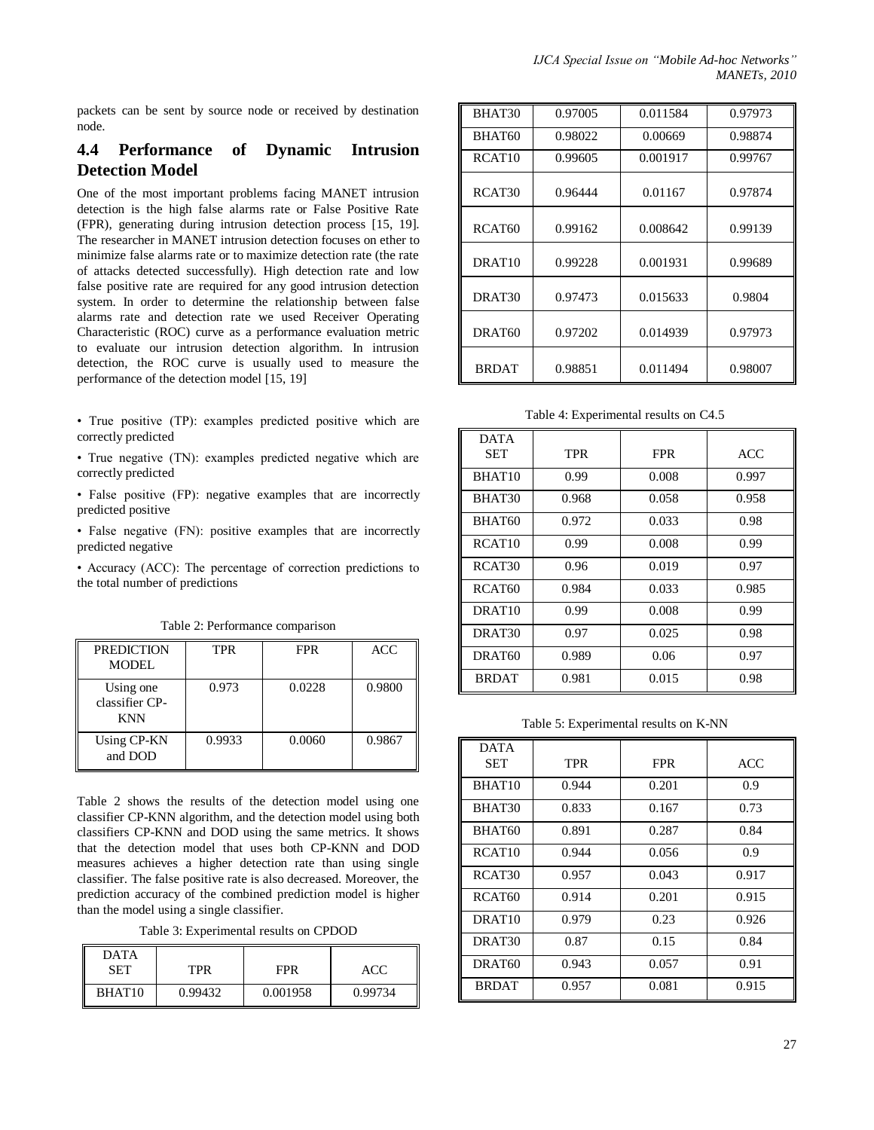packets can be sent by source node or received by destination node.

# **4.4 Performance of Dynamic Intrusion Detection Model**

One of the most important problems facing MANET intrusion detection is the high false alarms rate or False Positive Rate (FPR), generating during intrusion detection process [15, 19]. The researcher in MANET intrusion detection focuses on ether to minimize false alarms rate or to maximize detection rate (the rate of attacks detected successfully). High detection rate and low false positive rate are required for any good intrusion detection system. In order to determine the relationship between false alarms rate and detection rate we used Receiver Operating Characteristic (ROC) curve as a performance evaluation metric to evaluate our intrusion detection algorithm. In intrusion detection, the ROC curve is usually used to measure the performance of the detection model [15, 19]

• True positive (TP): examples predicted positive which are correctly predicted

• True negative (TN): examples predicted negative which are correctly predicted

• False positive (FP): negative examples that are incorrectly predicted positive

• False negative (FN): positive examples that are incorrectly predicted negative

• Accuracy (ACC): The percentage of correction predictions to the total number of predictions

Table 2: Performance comparison

| <b>PREDICTION</b><br><b>MODEL</b>         | <b>TPR</b> | <b>FPR</b> | <b>ACC</b> |
|-------------------------------------------|------------|------------|------------|
| Using one<br>classifier CP-<br><b>KNN</b> | 0.973      | 0.0228     | 0.9800     |
| Using CP-KN<br>and DOD                    | 0.9933     | 0.0060     | 0.9867     |

Table 2 shows the results of the detection model using one classifier CP-KNN algorithm, and the detection model using both classifiers CP-KNN and DOD using the same metrics. It shows that the detection model that uses both CP-KNN and DOD measures achieves a higher detection rate than using single classifier. The false positive rate is also decreased. Moreover, the prediction accuracy of the combined prediction model is higher than the model using a single classifier.

Table 3: Experimental results on CPDOD

| <b>DATA</b>        |            |            |         |
|--------------------|------------|------------|---------|
| <b>SET</b>         | <b>TPR</b> | <b>FPR</b> | ACC     |
| BHAT <sub>10</sub> | 0.99432    | 0.001958   | 0.99734 |

| BHAT30             | 0.97005 | 0.011584 | 0.97973 |
|--------------------|---------|----------|---------|
| BHAT60             | 0.98022 | 0.00669  | 0.98874 |
| RCAT <sub>10</sub> | 0.99605 | 0.001917 | 0.99767 |
| RCAT <sub>30</sub> | 0.96444 | 0.01167  | 0.97874 |
| RCAT <sub>60</sub> | 0.99162 | 0.008642 | 0.99139 |
| DRAT <sub>10</sub> | 0.99228 | 0.001931 | 0.99689 |
| DRAT30             | 0.97473 | 0.015633 | 0.9804  |
| DRAT <sub>60</sub> | 0.97202 | 0.014939 | 0.97973 |
| <b>BRDAT</b>       | 0.98851 | 0.011494 | 0.98007 |

Table 4: Experimental results on C4.5

| <b>DATA</b><br>SET | <b>TPR</b> | <b>FPR</b> | <b>ACC</b> |
|--------------------|------------|------------|------------|
| BHAT <sub>10</sub> | 0.99       | 0.008      | 0.997      |
| BHAT30             | 0.968      | 0.058      | 0.958      |
| BHAT60             | 0.972      | 0.033      | 0.98       |
| RCAT <sub>10</sub> | 0.99       | 0.008      | 0.99       |
| RCAT30             | 0.96       | 0.019      | 0.97       |
| RCAT <sub>60</sub> | 0.984      | 0.033      | 0.985      |
| DRAT <sub>10</sub> | 0.99       | 0.008      | 0.99       |
| DRAT <sub>30</sub> | 0.97       | 0.025      | 0.98       |
| DRAT <sub>60</sub> | 0.989      | 0.06       | 0.97       |
| <b>BRDAT</b>       | 0.981      | 0.015      | 0.98       |

Table 5: Experimental results on K-NN

| <b>DATA</b><br>SET | <b>TPR</b> | <b>FPR</b> | <b>ACC</b> |
|--------------------|------------|------------|------------|
| BHAT <sub>10</sub> | 0.944      | 0.201      | 0.9        |
| BHAT30             | 0.833      | 0.167      | 0.73       |
| BHAT <sub>60</sub> | 0.891      | 0.287      | 0.84       |
| RCAT <sub>10</sub> | 0.944      | 0.056      | 0.9        |
| RCAT <sub>30</sub> | 0.957      | 0.043      | 0.917      |
| RCAT <sub>60</sub> | 0.914      | 0.201      | 0.915      |
| DRAT <sub>10</sub> | 0.979      | 0.23       | 0.926      |
| DRAT <sub>30</sub> | 0.87       | 0.15       | 0.84       |
| DRAT <sub>60</sub> | 0.943      | 0.057      | 0.91       |
| <b>BRDAT</b>       | 0.957      | 0.081      | 0.915      |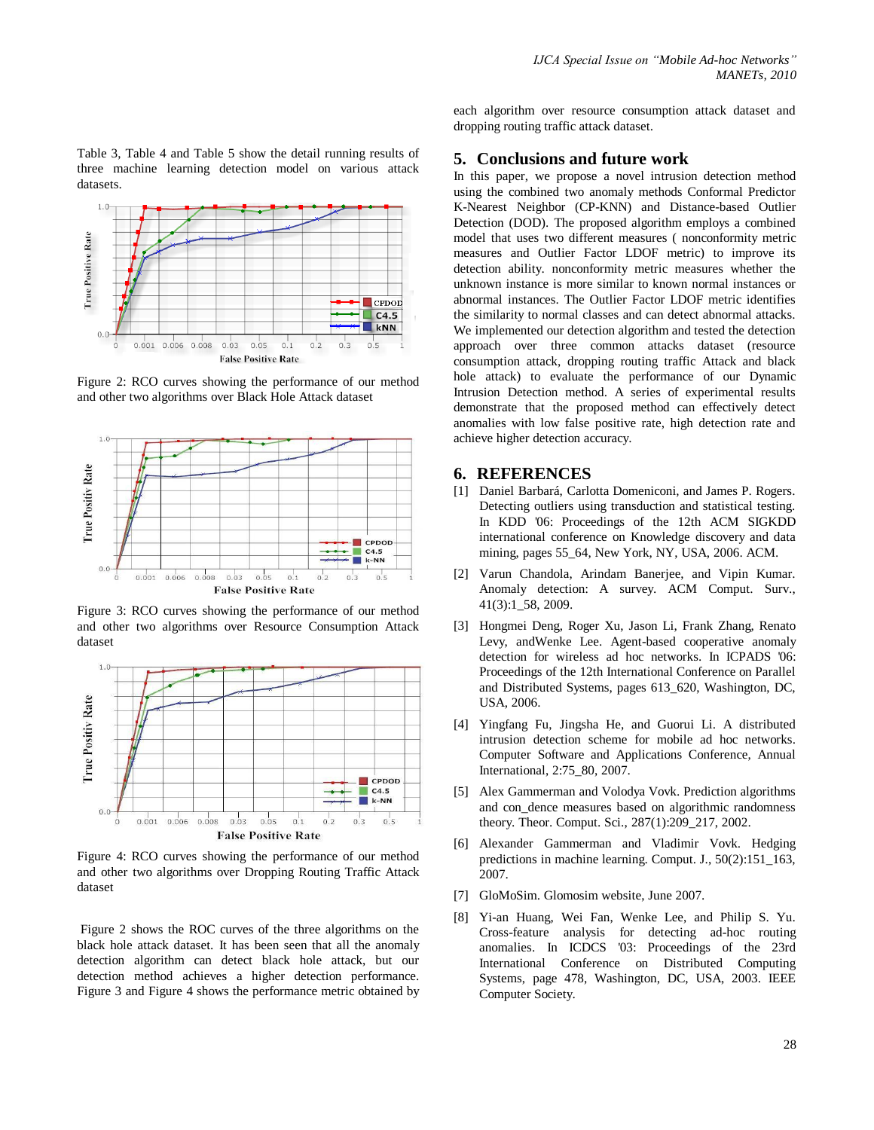Table 3, Table 4 and Table 5 show the detail running results of three machine learning detection model on various attack datasets.



Figure 2: RCO curves showing the performance of our method and other two algorithms over Black Hole Attack dataset



Figure 3: RCO curves showing the performance of our method and other two algorithms over Resource Consumption Attack dataset



Figure 4: RCO curves showing the performance of our method and other two algorithms over Dropping Routing Traffic Attack dataset

Figure 2 shows the ROC curves of the three algorithms on the black hole attack dataset. It has been seen that all the anomaly detection algorithm can detect black hole attack, but our detection method achieves a higher detection performance. Figure 3 and Figure 4 shows the performance metric obtained by

each algorithm over resource consumption attack dataset and dropping routing traffic attack dataset.

#### **5. Conclusions and future work**

In this paper, we propose a novel intrusion detection method using the combined two anomaly methods Conformal Predictor K-Nearest Neighbor (CP-KNN) and Distance-based Outlier Detection (DOD). The proposed algorithm employs a combined model that uses two different measures ( nonconformity metric measures and Outlier Factor LDOF metric) to improve its detection ability. nonconformity metric measures whether the unknown instance is more similar to known normal instances or abnormal instances. The Outlier Factor LDOF metric identifies the similarity to normal classes and can detect abnormal attacks. We implemented our detection algorithm and tested the detection approach over three common attacks dataset (resource consumption attack, dropping routing traffic Attack and black hole attack) to evaluate the performance of our Dynamic Intrusion Detection method. A series of experimental results demonstrate that the proposed method can effectively detect anomalies with low false positive rate, high detection rate and achieve higher detection accuracy.

#### **6. REFERENCES**

- [1] Daniel Barbará, Carlotta Domeniconi, and James P. Rogers. Detecting outliers using transduction and statistical testing. In KDD '06: Proceedings of the 12th ACM SIGKDD international conference on Knowledge discovery and data mining, pages 55\_64, New York, NY, USA, 2006. ACM.
- [2] Varun Chandola, Arindam Banerjee, and Vipin Kumar. Anomaly detection: A survey. ACM Comput. Surv., 41(3):1\_58, 2009.
- [3] Hongmei Deng, Roger Xu, Jason Li, Frank Zhang, Renato Levy, andWenke Lee. Agent-based cooperative anomaly detection for wireless ad hoc networks. In ICPADS '06: Proceedings of the 12th International Conference on Parallel and Distributed Systems, pages 613\_620, Washington, DC, USA, 2006.
- [4] Yingfang Fu, Jingsha He, and Guorui Li. A distributed intrusion detection scheme for mobile ad hoc networks. Computer Software and Applications Conference, Annual International, 2:75\_80, 2007.
- [5] Alex Gammerman and Volodya Vovk. Prediction algorithms and con\_dence measures based on algorithmic randomness theory. Theor. Comput. Sci., 287(1):209\_217, 2002.
- [6] Alexander Gammerman and Vladimir Vovk. Hedging predictions in machine learning. Comput. J., 50(2):151\_163, 2007.
- [7] GloMoSim. Glomosim website, June 2007.
- [8] Yi-an Huang, Wei Fan, Wenke Lee, and Philip S. Yu. Cross-feature analysis for detecting ad-hoc routing anomalies. In ICDCS '03: Proceedings of the 23rd International Conference on Distributed Computing Systems, page 478, Washington, DC, USA, 2003. IEEE Computer Society.